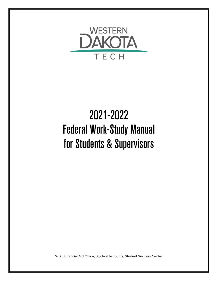

# 2021-2022 Federal Work-Study Manual for Students & Supervisors

WDT Financial Aid Office, Student Accounts, Student Success Center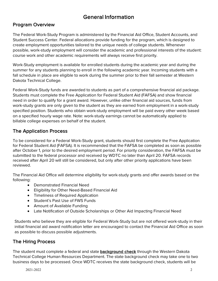# General Information

## Program Overview

The Federal Work-Study Program is administered by the Financial Aid Office, Student Accounts, and Student Success Center. Federal allocations provide funding for the program, which is designed to create employment opportunities tailored to the unique needs of college students. Whenever possible, work-study employment will consider the academic and professional interests of the student: course work and other academic requirements will always receive first priority.

Work-Study employment is available for enrolled students during the academic year and during the summer for any students planning to enroll in the following academic year. Incoming students with a fall schedule in place are eligible to work during the summer prior to their fall semester at Western Dakota Technical College.

Federal Work-Study funds are awarded to students as part of a comprehensive financial aid package. Students must complete the Free Application for Federal Student Aid (FAFSA) and show financial need in order to qualify for a grant award. However, unlike other financial aid sources, funds from work-study grants are only given to the student as they are earned from employment in a work-study specified position. Students who obtain work-study employment will be paid every other week based on a specified hourly wage rate. Note: work-study earnings cannot be automatically applied to billable college expenses on behalf of the student.

## The Application Process

To be considered for a Federal Work-Study grant, students should first complete the Free Application for Federal Student Aid (FAFSA). It is recommended that the FAFSA be completed as soon as possible after October 1, prior to the desired employment period. For priority consideration, the FAFSA must be submitted to the federal processor and received by WDTC no later than April 20. FAFSA records received after April 20 will still be considered, but only after other priority applications have been reviewed.

The Financial Aid Office will determine eligibility for work-study grants and offer awards based on the following:

- Demonstrated Financial Need
- Eligibility for Other Need-Based Financial Aid
- Timeliness of Required Application
- Student's Past Use of FWS Funds
- Amount of Available Funding
- Late Notification of Outside Scholarships or Other Aid Impacting Financial Need

Students who believe they are eligible for Federal Work-Study but are not offered work-study in their initial financial aid award notification letter are encouraged to contact the Financial Aid Office as soon as possible to discuss possible adjustments.

#### The Hiring Process

The student must complete a federal and state background check through the Western Dakota Technical College Human Resources Department. The state background check may take one to two business days to be processed. Once WDTC receives the state background check, students will be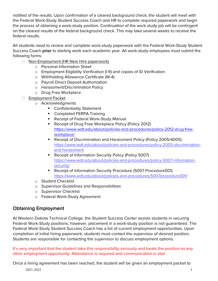notified of the results. Upon confirmation of a cleared background check, the student will meet with the Federal Work-Study Student Success Coach and HR to complete required paperwork and begin the process of obtaining a work-study position. Continuation of the work study job will be contingent on the cleared results of the federal background check. This may take several weeks to receive the federal results.

All students need to review and complete work-study paperwork with the Federal Work-Study Student Success Coach prior to starting work each academic year. All work-study employees must submit the following forms:

- $\Box$  Non-Employment (HR New Hire paperwork)
	- o Personal Information Sheet
	- o Employment Eligibility Verification (I-9) and copies of ID Verification
	- o Withholding Allowance Certificate (W-4)
	- o Payroll Direct Deposit Authorization
	- o Harassment/Discrimination Policy
	- o Drug Free Workplace
- Employment Packet
	- o Acknowledgments
		- **Confidentiality Statement**
		- **Completed FERPA Training**
		- Receipt of Federal Work-Study Manual
		- Receipt of Drug Free Workplace Policy (Policy 2012) [https://www.wdt.edu/about/policies-and-procedures/policy-2012-drug-free](https://www.wdt.edu/about/policies-and-procedures/policy-2012-drug-free-workplace/)[workplace/](https://www.wdt.edu/about/policies-and-procedures/policy-2012-drug-free-workplace/)
		- Receipt of Discrimination and Harassment Policy (Policy 2005/4005) [https://www.wdt.edu/about/policies-and-procedures/policy-2005-discrimination](https://www.wdt.edu/about/policies-and-procedures/policy-2005-discrimination-and-harassment)[and-harassment](https://www.wdt.edu/about/policies-and-procedures/policy-2005-discrimination-and-harassment)
		- Receipt of Information Security Policy (Policy 5007) [https://www.wdt.edu/about/policies-and-procedures/policy-5007-information](https://www.wdt.edu/about/policies-and-procedures/policy-5007-information-security/)[security/](https://www.wdt.edu/about/policies-and-procedures/policy-5007-information-security/)
		- Receipt of Information Security Procedure (5007.Procedure001) <https://www.wdt.edu/about/policies-and-procedures/5007procedure001/>
	- o Student Checklist
	- o Supervisor Guidelines and Responsibilities
	- o Supervisor Checklist
	- o Federal Work-Study Agreement

#### Obtaining Employment

At Western Dakota Technical College, the Student Success Center assists students in securing Federal Work-Study positions; however, placement in a work-study position is not guaranteed. The Federal Work-Study Student Success Coach has a list of current employment opportunities. Upon completion of initial hiring paperwork, students must contact the supervisor of desired position. Students are responsible for contacting the supervisor to discuss employment options.

It's very important that the student take this responsibility seriously and treats the position as any other employment opportunity. Attendance is required and communication is vital.

Once a hiring agreement has been reached, the student will be given an employment packet to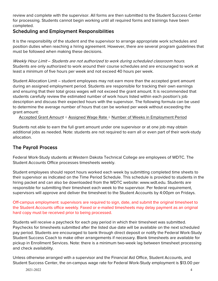review and complete with the supervisor. All forms are then submitted to the Student Success Center for processing. Students cannot begin working until all required forms and trainings have been completed.

#### Scheduling and Employment Responsibilities

It is the responsibility of the student and the supervisor to arrange appropriate work schedules and position duties when reaching a hiring agreement. However, there are several program guidelines that must be followed when making these decisions.

Weekly Hour Limit – Students are not authorized to work during scheduled classroom hours. Students are only authorized to work around their course schedules and are encouraged to work at least a minimum of five hours per week and not exceed 40 hours per week.

Student Allocation Limit – student employees may not earn more than the accepted grant amount during an assigned employment period. Students are responsible for tracking their own earnings and ensuring that their total gross wages will not exceed the grant amount. It is recommended that students carefully review the estimated number of work hours listed within each position's job description and discuss their expected hours with the supervisor. The following formula can be used to determine the average number of hours that can be worked per week without exceeding the grant amount:

Accepted Grant Amount ÷ Assigned Wage Rate ÷ Number of Weeks in Employment Period

Students not able to earn the full grant amount under one supervisor or at one job may obtain additional jobs as needed. Note: students are not required to earn all or even part of their work-study allocation.

# The Payroll Process

Federal Work-Study students at Western Dakota Technical College are employees of WDTC. The Student Accounts Office processes timesheets weekly.

Student employees should report hours worked each week by submitting completed time sheets to their supervisor as indicated on the Time Period Schedule. This schedule is provided to students in the hiring packet and can also be downloaded from the WDTC website: www.wdt.edu. Students are responsible for submitting their timesheet each week to the supervisor. Per federal requirement, supervisors will approve and deliver the timesheet to the Student Accounts by 4:00pm on Fridays.

Off-campus employment: supervisors are required to sign, date, and submit the original timesheet to the Student Accounts office weekly. Faxed or e-mailed timesheets may delay payment as an original hard copy must be received prior to being processed.

Students will receive a paycheck for each pay period in which their timesheet was submitted. Paychecks for timesheets submitted after the listed due date will be available on the next scheduled pay period. Students are encouraged to bank through direct deposit or notify the Federal Work-Study Student Success Coach to make other arrangements if necessary. Blank timesheets are available for pickup in Enrollment Services. Note: there is a minimum two-week lag between timesheet processing and check availability.

Unless otherwise arranged with a supervisor and the Financial Aid Office, Student Accounts, and Student Success Center, the on-campus wage rate for Federal Work-Study employment is \$13.00 per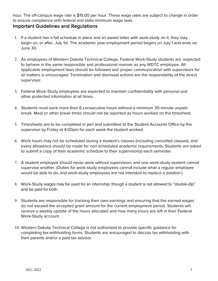hour. The off-campus wage rate is \$15.00 per hour. These wage rates are subject to change in order to ensure compliance with federal and state minimum wage laws.

#### Important Guidelines and Regulations

- 1. If a student has a fall schedule in place and an award letter with work-study on it, they may begin on, or after, July 1st. The academic year employment period begins on July 1 and ends on June 30.
- 2. As employees of Western Dakota Technical College, Federal Work-Study students are expected to behave in the same responsible and professional manner as any WDTC employee. All applicable employment laws should be followed and proper communication with supervisors for all matters is encouraged. Termination and dismissal actions are the responsibility of the direct supervisor.
- 3. Federal Work-Study employees are expected to maintain confidentiality with personal and other protected information at all times.
- 4. Students must work more than 6 consecutive hours without a minimum 30-minute unpaid break. Meal or other break times should not be reported as hours worked on the timesheet.
- 5. Timesheets are to be completed in pen and submitted to the Student Accounts Office by the supervisor by Friday at 4:00pm for each week the student worked.
- 6. Work hours may not be scheduled during a student's classes (including cancelled classes), and every allowance should be made for non-scheduled academic requirements. Students are asked to submit a copy of their academic schedule to their supervisor(s) each semester.
- 7. A student employee should never work without supervision, and one work-study student cannot supervise another. (Duties for work-study employees cannot include what a regular employee would be able to do, and work-study employees are not intended to replace a position.)
- 8. Work-Study wages may be used for an internship, though a student is not allowed to "double-dip" and be paid for both.
- 9. Students are responsible for tracking their own earnings and ensuring that the earned wages do not exceed the accepted grant amount for the current employment period. Students will receive a weekly update of the hours allocated and how many hours are left in their Federal Work-Study account.
- 10. Western Dakota Technical College is not authorized to provide specific guidance for completing tax-withholding forms. Students are encouraged to discuss tax withholding with their parents and/or a paid tax advisor.